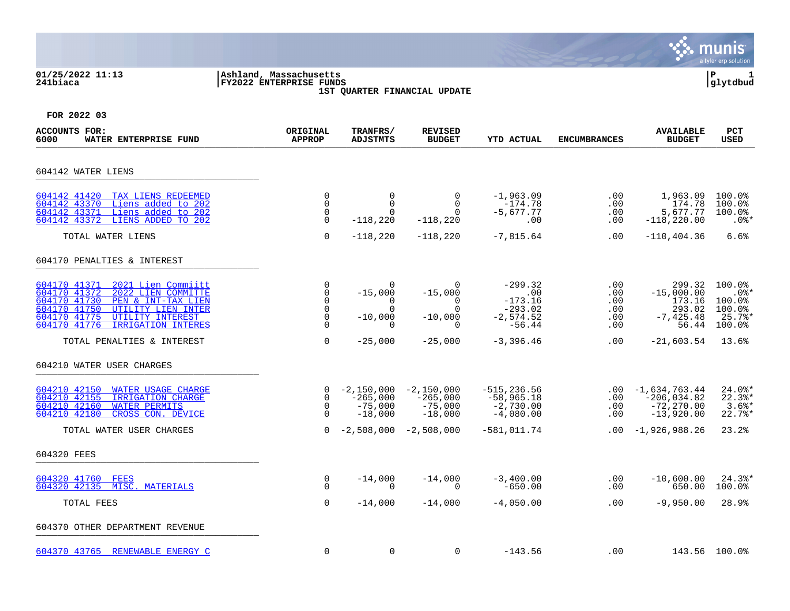### **01/25/2022 11:13 |Ashland, Massachusetts |P 1 241biaca |FY2022 ENTERPRISE FUNDS |glytdbud 1ST QUARTER FINANCIAL UPDATE**



| <b>ACCOUNTS FOR:</b><br>6000<br>WATER ENTERPRISE FUND                                                                                                                                                                          | ORIGINAL<br><b>APPROP</b>                                              | TRANFRS/<br><b>ADJSTMTS</b>                                | <b>REVISED</b><br><b>BUDGET</b>                                 | YTD ACTUAL                                                            | <b>ENCUMBRANCES</b>                    | <b>AVAILABLE</b><br><b>BUDGET</b>                                   | <b>PCT</b><br><b>USED</b>                                          |
|--------------------------------------------------------------------------------------------------------------------------------------------------------------------------------------------------------------------------------|------------------------------------------------------------------------|------------------------------------------------------------|-----------------------------------------------------------------|-----------------------------------------------------------------------|----------------------------------------|---------------------------------------------------------------------|--------------------------------------------------------------------|
| 604142 WATER LIENS                                                                                                                                                                                                             |                                                                        |                                                            |                                                                 |                                                                       |                                        |                                                                     |                                                                    |
| 604142 41420<br>TAX LIENS REDEEMED<br>Liens added to 202<br>604142 43370<br>Liens added to 202<br>604142 43371<br>LIENS ADDED TO 202<br>604142 43372                                                                           | $\Omega$<br>$\mathbf 0$<br>0<br>$\mathbf 0$                            | $\mathbf 0$<br>$\mathbf 0$<br>$\Omega$<br>$-118,220$       | $\Omega$<br>0<br>$\Omega$<br>$-118,220$                         | $-1,963.09$<br>$-174.78$<br>$-5,677.77$<br>.00                        | $.00 \,$<br>.00<br>.00<br>.00          | 1,963.09<br>174.78<br>5,677.77<br>$-118, 220.00$                    | $100.0$ <sup>8</sup><br>100.0%<br>100.0%<br>$.0$ %*                |
| TOTAL WATER LIENS                                                                                                                                                                                                              | $\Omega$                                                               | $-118,220$                                                 | $-118,220$                                                      | $-7,815.64$                                                           | .00                                    | $-110, 404.36$                                                      | 6.6%                                                               |
| 604170 PENALTIES & INTEREST                                                                                                                                                                                                    |                                                                        |                                                            |                                                                 |                                                                       |                                        |                                                                     |                                                                    |
| 604170 41371<br>2021 Lien Commiitt<br>604170 41372<br>2022 LIEN COMMITTE<br>604170 41730<br>PEN & INT-TAX LIEN<br>604170 41750<br>UTILITY LIEN INTER<br>604170 41775<br>UTILITY INTEREST<br>604170 41776<br>IRRIGATION INTERES | 0<br>$\mathbf 0$<br>$\Omega$<br>$\mathbf 0$<br>$\mathbf 0$<br>$\Omega$ | $-15,000$<br>$\Omega$<br>$\Omega$<br>$-10,000$<br>$\Omega$ | 0<br>$-15,000$<br>$\Omega$<br>$\Omega$<br>$-10,000$<br>$\Omega$ | $-299.32$<br>.00<br>$-173.16$<br>$-293.02$<br>$-2,574.52$<br>$-56.44$ | .00<br>.00<br>.00<br>.00<br>.00<br>.00 | 299.32<br>$-15,000.00$<br>173.16<br>293.02<br>$-7, 425.48$<br>56.44 | 100.0%<br>$.0$ %*<br>$100.0$ %<br>100.0%<br>$25.7$ %*<br>$100.0$ ° |
| TOTAL PENALTIES & INTEREST                                                                                                                                                                                                     | $\mathbf 0$                                                            | $-25,000$                                                  | $-25,000$                                                       | $-3,396.46$                                                           | $.00 \,$                               | $-21,603.54$                                                        | 13.6%                                                              |
| 604210 WATER USER CHARGES                                                                                                                                                                                                      |                                                                        |                                                            |                                                                 |                                                                       |                                        |                                                                     |                                                                    |
| 604210 42150<br>WATER USAGE CHARGE<br>604210 42155<br>IRRIGATION CHARGE<br>604210 42160<br>WATER PERMITS<br>604210 42180<br>CROSS CON. DEVICE                                                                                  | $\mathbf 0$<br>$\mathbf 0$<br>$\Omega$                                 | $-2,150,000$<br>$-265,000$<br>$-75,000$<br>$-18,000$       | $-2,150,000$<br>$-265,000$<br>$-75,000$<br>$-18,000$            | $-515, 236.56$<br>$-58,965.18$<br>$-2,730.00$<br>$-4,080.00$          | $.00 \,$<br>$.00 \,$<br>.00<br>.00     | $-1,634,763.44$<br>$-206,034.82$<br>$-72, 270.00$<br>$-13,920.00$   | $24.0$ *<br>$22.3$ <sup>*</sup><br>3.6%<br>22.7%                   |
| TOTAL WATER USER CHARGES                                                                                                                                                                                                       | $\Omega$                                                               | $-2,508,000$                                               | $-2,508,000$                                                    | $-581,011.74$                                                         |                                        | $.00 - 1,926,988.26$                                                | 23.2%                                                              |
| 604320 FEES                                                                                                                                                                                                                    |                                                                        |                                                            |                                                                 |                                                                       |                                        |                                                                     |                                                                    |
| 604320 41760 FEES<br>604320 42135 MISC. MATERIALS                                                                                                                                                                              | 0<br>$\Omega$                                                          | $-14,000$<br>$\Omega$                                      | $-14,000$<br>$\Omega$                                           | $-3,400.00$<br>$-650.00$                                              | $.00 \,$<br>.00                        | $-10,600.00$<br>650.00                                              | $24.3$ $*$<br>100.0%                                               |
| TOTAL FEES                                                                                                                                                                                                                     | $\mathbf 0$                                                            | $-14,000$                                                  | $-14,000$                                                       | $-4,050.00$                                                           | .00                                    | $-9,950.00$                                                         | 28.9%                                                              |
| 604370 OTHER DEPARTMENT REVENUE                                                                                                                                                                                                |                                                                        |                                                            |                                                                 |                                                                       |                                        |                                                                     |                                                                    |
| 604370 43765 RENEWABLE ENERGY C                                                                                                                                                                                                | $\mathbf 0$                                                            | $\mathbf 0$                                                | $\mathbf 0$                                                     | $-143.56$                                                             | .00                                    |                                                                     | 143.56 100.0%                                                      |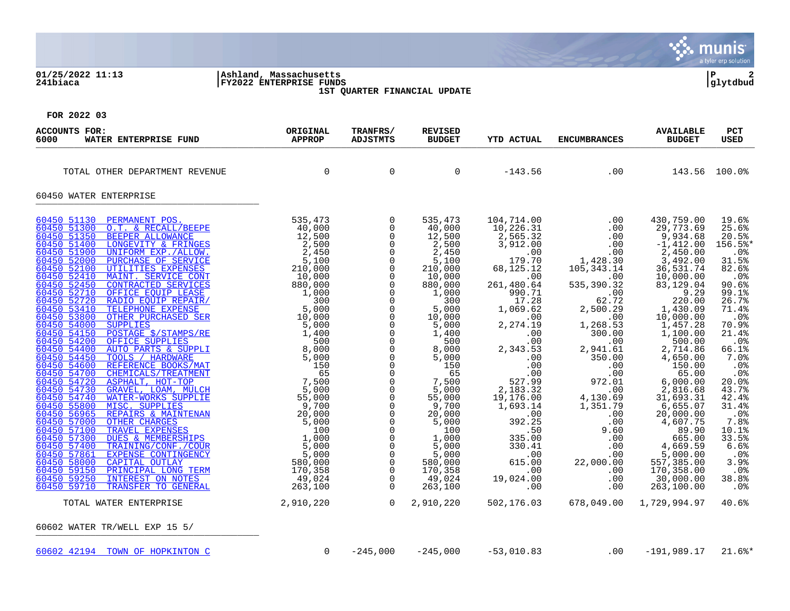### **01/25/2022 11:13 |Ashland, Massachusetts |P 2 241biaca |FY2022 ENTERPRISE FUNDS |glytdbud 1ST QUARTER FINANCIAL UPDATE**



| ACCOUNTS FOR:<br>WATER ENTERPRISE FUND<br>6000                                                                                                                                                                                                                                                                                                                                                                                                                                                                                                                                                                                                                                                                                                                                                                                                                                                                                                                                                                                                                                                                                                                                                                                                                                                                                                         | ORIGINAL<br><b>APPROP</b>                                                                                                                                                                                                                                                                                   | TRANFRS/<br>ADJSTMTS                                                                                                                                                                                                                                                                                                                                                                                                                                                                                                          | <b>REVISED</b><br><b>BUDGET</b>                                                                                                                                                                                                                                                                                                     | <b>YTD ACTUAL</b>                                                                                                                                                                                                                                                                                                                                                                                  | <b>ENCUMBRANCES</b>                                                                                                                                                                                                                                                                                                       | <b>AVAILABLE</b><br><b>BUDGET</b>                                                                                                                                                                                                                                                                                                                                                                                                     | <b>PCT</b><br><b>USED</b>                                                                                                                                                                                                                                                                                           |
|--------------------------------------------------------------------------------------------------------------------------------------------------------------------------------------------------------------------------------------------------------------------------------------------------------------------------------------------------------------------------------------------------------------------------------------------------------------------------------------------------------------------------------------------------------------------------------------------------------------------------------------------------------------------------------------------------------------------------------------------------------------------------------------------------------------------------------------------------------------------------------------------------------------------------------------------------------------------------------------------------------------------------------------------------------------------------------------------------------------------------------------------------------------------------------------------------------------------------------------------------------------------------------------------------------------------------------------------------------|-------------------------------------------------------------------------------------------------------------------------------------------------------------------------------------------------------------------------------------------------------------------------------------------------------------|-------------------------------------------------------------------------------------------------------------------------------------------------------------------------------------------------------------------------------------------------------------------------------------------------------------------------------------------------------------------------------------------------------------------------------------------------------------------------------------------------------------------------------|-------------------------------------------------------------------------------------------------------------------------------------------------------------------------------------------------------------------------------------------------------------------------------------------------------------------------------------|----------------------------------------------------------------------------------------------------------------------------------------------------------------------------------------------------------------------------------------------------------------------------------------------------------------------------------------------------------------------------------------------------|---------------------------------------------------------------------------------------------------------------------------------------------------------------------------------------------------------------------------------------------------------------------------------------------------------------------------|---------------------------------------------------------------------------------------------------------------------------------------------------------------------------------------------------------------------------------------------------------------------------------------------------------------------------------------------------------------------------------------------------------------------------------------|---------------------------------------------------------------------------------------------------------------------------------------------------------------------------------------------------------------------------------------------------------------------------------------------------------------------|
| TOTAL OTHER DEPARTMENT REVENUE                                                                                                                                                                                                                                                                                                                                                                                                                                                                                                                                                                                                                                                                                                                                                                                                                                                                                                                                                                                                                                                                                                                                                                                                                                                                                                                         | $\overline{0}$                                                                                                                                                                                                                                                                                              | $\mathbf 0$                                                                                                                                                                                                                                                                                                                                                                                                                                                                                                                   | $\Omega$                                                                                                                                                                                                                                                                                                                            | $-143.56$                                                                                                                                                                                                                                                                                                                                                                                          | $\sim$ 00                                                                                                                                                                                                                                                                                                                 |                                                                                                                                                                                                                                                                                                                                                                                                                                       | 143.56 100.0%                                                                                                                                                                                                                                                                                                       |
| 60450 WATER ENTERPRISE                                                                                                                                                                                                                                                                                                                                                                                                                                                                                                                                                                                                                                                                                                                                                                                                                                                                                                                                                                                                                                                                                                                                                                                                                                                                                                                                 |                                                                                                                                                                                                                                                                                                             |                                                                                                                                                                                                                                                                                                                                                                                                                                                                                                                               |                                                                                                                                                                                                                                                                                                                                     |                                                                                                                                                                                                                                                                                                                                                                                                    |                                                                                                                                                                                                                                                                                                                           |                                                                                                                                                                                                                                                                                                                                                                                                                                       |                                                                                                                                                                                                                                                                                                                     |
| 60450 51130<br>PERMANENT POS.<br>60450 51300<br>O.T. & RECALL/BEEPE<br>60450 51350<br>BEEPER ALLOWANCE<br>60450 51400<br>LONGEVITY & FRINGES<br>60450 51900<br>UNIFORM EXP./ALLOW.<br>60450 52000<br>PURCHASE OF SERVICE<br>60450 52100<br>UTILITIES EXPENSES<br>60450 52410<br>MAINT. SERVICE CONT<br>60450 52450<br>CONTRACTED SERVICES<br>60450 52710<br>OFFICE EOUIP LEASE<br>60450 52720<br>RADIO EQUIP REPAIR/<br>60450 53410<br>TELEPHONE EXPENSE<br>60450 53800<br>OTHER PURCHASED SER<br>60450 54000<br><b>SUPPLIES</b><br>60450 54150<br>POSTAGE \$/STAMPS/RE<br>60450 54200<br>OFFICE SUPPLIES<br>60450 54400<br><b>AUTO PARTS &amp; SUPPLI</b><br>60450 54450<br>TOOLS / HARDWARE<br>REFERENCE BOOKS/MAT<br>60450 54600<br>60450 54700<br>CHEMICALS/TREATMENT<br>60450 54720<br>ASPHALT, HOT-TOP<br>60450 54730<br>GRAVEL, LOAM, MULCH<br>60450 54740<br><b>WATER-WORKS SUPPLIE</b><br>60450 55800<br>MISC. SUPPLIES<br>60450 56965<br>REPAIRS & MAINTENAN<br>60450 57000<br><b>OTHER CHARGES</b><br>60450 57100<br>TRAVEL EXPENSES<br>60450 57300<br><b>DUES &amp; MEMBERSHIPS</b><br>60450 57400<br>TRAINING/CONF./COUR<br>60450 57861<br>EXPENSE CONTINGENCY<br>60450 58000<br>CAPITAL OUTLAY<br>60450 59150<br>PRINCIPAL LONG TERM<br>60450 59250<br>INTEREST ON NOTES<br>60450 59710<br>TRANSFER TO GENERAL<br>TOTAL WATER ENTERPRISE | 535,473<br>BEEPE 535,473<br>CE 40,000<br>ILGE 40,000<br>ILGE 2,500<br>Z,500<br>Z,500<br>Z,500<br>Z,450<br>S,1000<br>Z,450<br>S,1000<br>Z,450<br>S,000<br><u>VICES</u> 2,450<br>2,000<br>NERE 5,000<br>DER 5,000<br>S/MAT<br>NERI 7,500<br>S,000<br>S/MAT<br>NERI 7,500<br>S,000<br>S,000<br>PP<br>2,910,220 | $\overline{0}$<br>$\mathbf 0$<br>$\mathbf 0$<br>$\mathsf{O}$<br>$\Omega$<br>0<br>$\Omega$<br>$\mathbf 0$<br>$\mathbf 0$<br>$\Omega$<br>$\mathsf{O}$<br>$\mathbf 0$<br>$\mathbf 0$<br>$\mathsf{O}$<br>$\mathbf 0$<br>$\mathbf 0$<br>$\overline{0}$<br>$\mathbf 0$<br>$\mathsf{O}$<br>$\mathbf 0$<br>$\mathbf 0$<br>$\mathbf 0$<br>$\mathbf 0$<br>0<br>$\mathbf 0$<br>$\mathbf 0$<br>$\mathbf 0$<br>$\mathbf 0$<br>$\mathsf{O}$<br>$\mathbf 0$<br>$\mathbf 0$<br>$\mathbf 0$<br>$\mathbf 0$<br>$\overline{0}$<br>$\overline{0}$ | 535,473<br>40,000<br>12,500<br>2,500<br>2,450<br>5,100<br>210,000<br>10,000<br>880,000<br>1,000<br>300<br>5,000<br>10,000<br>5,000<br>1,400<br>500<br>8,000<br>5,000<br>150<br>65<br>7,500<br>5,000<br>55,000<br>9,700<br>20,000<br>5,000<br>100<br>1,000<br>5,000<br>5,000<br>580,000<br>170,358<br>49,024<br>263,100<br>2,910,220 | 104,714.00<br>10,226.31<br>2,565.32<br>3,912.00<br>179.70<br>68,125.12<br>$\overline{00}$<br>261,480.64<br>990.71<br>17.28<br>1,069.62<br>.00<br>2,274.19<br>.00<br>.00<br>2,343.53<br>.00<br>.00<br>.00<br>527.99<br>2,183.32<br>19,176.00<br>1,693.14<br>$\overline{00}$<br>392.25<br>.50<br>335.00<br>330.41<br>$\overline{\phantom{0}}$ .00<br>615.00<br>.00<br>19,024.00<br>.00<br>502,176.03 | .00<br>.00<br>.00<br>.00<br>.00<br>1,428.30<br>105, 343. 14<br>.00<br>535, 390.32<br>.00<br>62.72<br>2,500.29<br>.00<br>1,268.53<br>300.00<br>.00<br>2,941.61<br>350.00<br>.00<br>.00<br>972.01<br>.00<br>4,130.69<br>1,351.79<br>.00<br>.00<br>9.60<br>.00<br>.00<br>.00<br>22,000.00<br>.00<br>.00<br>.00<br>678,049.00 | 430,759.00<br>29,773.69<br>9,934.68<br>$-1,412.00$<br>2,450.00<br>3,492.00<br>36,531.74<br>10,000.00<br>83,129.04<br>9.29<br>220.00<br>1,430.09<br>10,000.00<br>1,457.28<br>1,100.00<br>500.00<br>2,714.86<br>4,650.00<br>150.00<br>65.00<br>6,000.00<br>2,816.68<br>31,693.31<br>6,655.07<br>20,000.00<br>4,607.75<br>89.90<br>665.00<br>4,669.59<br>5,000.00<br>557,385.00<br>170,358.00<br>30,000.00<br>263,100.00<br>1,729,994.97 | 19.6%<br>25.6%<br>20.5%<br>156.5%*<br>.0%<br>31.5%<br>82.6%<br>$.0\%$<br>90.6%<br>99.1%<br>26.7%<br>71.4%<br>.0%<br>70.9%<br>21.4%<br>$.0\%$<br>66.1%<br>7.0%<br>.0%<br>.0%<br>20.0%<br>43.7%<br>42.4%<br>31.4%<br>$.0\%$<br>7.8%<br>10.1%<br>33.5%<br>6.6%<br>$.0\%$<br>3.9%<br>$.0\%$<br>38.8%<br>$.0\%$<br>40.6% |
| 60602 WATER TR/WELL EXP 15 5/                                                                                                                                                                                                                                                                                                                                                                                                                                                                                                                                                                                                                                                                                                                                                                                                                                                                                                                                                                                                                                                                                                                                                                                                                                                                                                                          |                                                                                                                                                                                                                                                                                                             |                                                                                                                                                                                                                                                                                                                                                                                                                                                                                                                               |                                                                                                                                                                                                                                                                                                                                     |                                                                                                                                                                                                                                                                                                                                                                                                    |                                                                                                                                                                                                                                                                                                                           |                                                                                                                                                                                                                                                                                                                                                                                                                                       |                                                                                                                                                                                                                                                                                                                     |
| 60602 42194 TOWN OF HOPKINTON C                                                                                                                                                                                                                                                                                                                                                                                                                                                                                                                                                                                                                                                                                                                                                                                                                                                                                                                                                                                                                                                                                                                                                                                                                                                                                                                        | $\mathbf 0$                                                                                                                                                                                                                                                                                                 | $-245,000$                                                                                                                                                                                                                                                                                                                                                                                                                                                                                                                    | $-245,000$                                                                                                                                                                                                                                                                                                                          | $-53,010.83$                                                                                                                                                                                                                                                                                                                                                                                       | .00                                                                                                                                                                                                                                                                                                                       | $-191,989.17$                                                                                                                                                                                                                                                                                                                                                                                                                         | $21.6$ <sup>*</sup>                                                                                                                                                                                                                                                                                                 |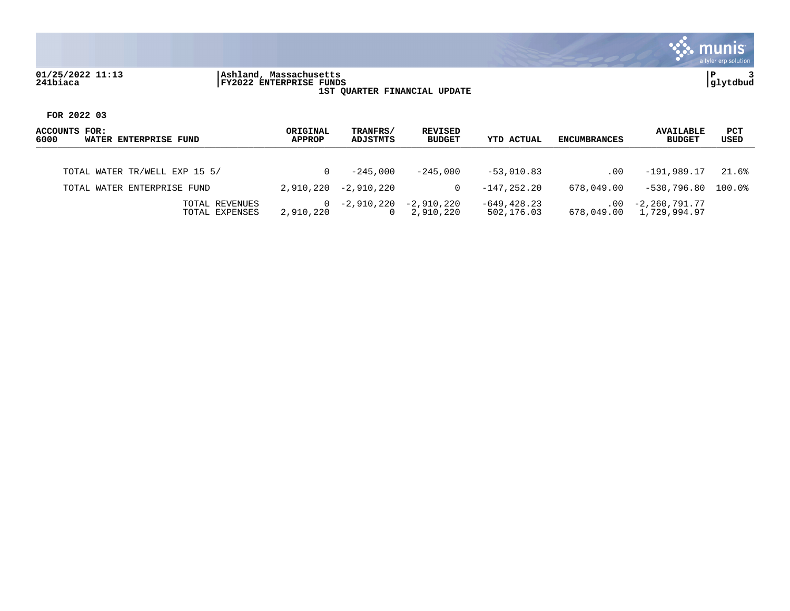## **01/25/2022 11:13 |Ashland, Massachusetts |P 3 241biaca |FY2022 ENTERPRISE FUNDS |glytdbud 1ST QUARTER FINANCIAL UPDATE**



| ACCOUNTS FOR:<br>6000<br>WATER ENTERPRISE FUND | ORIGINAL<br><b>APPROP</b> | TRANFRS/<br>ADJSTMTS   | REVISED<br><b>BUDGET</b> | <b>YTD ACTUAL</b>            | <b>ENCUMBRANCES</b> | <b>AVAILABLE</b><br><b>BUDGET</b>        | PCT<br>USED        |
|------------------------------------------------|---------------------------|------------------------|--------------------------|------------------------------|---------------------|------------------------------------------|--------------------|
| TOTAL WATER TR/WELL EXP 15 5/                  | 0                         | $-245.000$             | $-245.000$               | $-53.010.83$                 | .00                 | -191,989.17                              | 21.6%              |
| TOTAL WATER ENTERPRISE FUND                    | 2,910,220                 | $-2.910.220$           | 0                        | $-147.252.20$                | 678,049.00          | -530,796.80                              | $100.0$ $^{\circ}$ |
| TOTAL REVENUES<br>TOTAL EXPENSES               | $\Omega$<br>2,910,220     | -2,910,220<br>$\Omega$ | -2,910,220<br>2,910,220  | $-649, 428.23$<br>502,176.03 | $.00 \,$            | -2,260,791.77<br>678,049.00 1,729,994.97 |                    |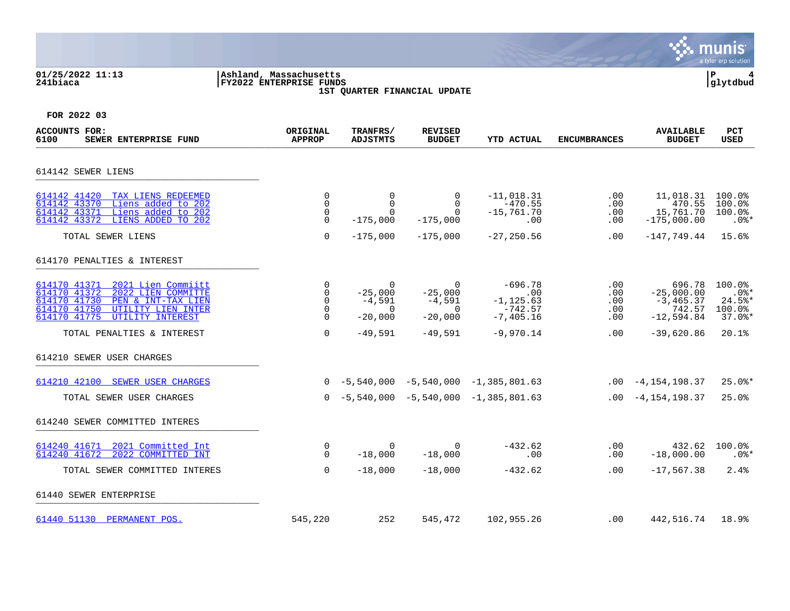## **01/25/2022 11:13 |Ashland, Massachusetts |P 4 241biaca |FY2022 ENTERPRISE FUNDS |glytdbud 1ST QUARTER FINANCIAL UPDATE**



| <b>ACCOUNTS FOR:</b><br>SEWER ENTERPRISE FUND<br>6100                                                                                                                                                                  | ORIGINAL<br><b>APPROP</b>                                 | TRANFRS/<br><b>ADJSTMTS</b>                                                   | <b>REVISED</b><br><b>BUDGET</b>                                                         | <b>YTD ACTUAL</b>                                                            | <b>ENCUMBRANCES</b>                         | <b>AVAILABLE</b><br><b>BUDGET</b>                                                | <b>PCT</b><br><b>USED</b>                                      |
|------------------------------------------------------------------------------------------------------------------------------------------------------------------------------------------------------------------------|-----------------------------------------------------------|-------------------------------------------------------------------------------|-----------------------------------------------------------------------------------------|------------------------------------------------------------------------------|---------------------------------------------|----------------------------------------------------------------------------------|----------------------------------------------------------------|
| 614142 SEWER LIENS                                                                                                                                                                                                     |                                                           |                                                                               |                                                                                         |                                                                              |                                             |                                                                                  |                                                                |
| 614142 41420<br>TAX LIENS REDEEMED<br>Liens added to 202<br>614142 43370<br>Liens added to 202<br>614142 43371<br>614142 43372<br>LIENS ADDED TO 202                                                                   | 0<br>$\mathbf 0$<br>0<br>$\Omega$                         | $\mathbf 0$<br>$\overline{0}$<br>$\Omega$<br>$-175,000$                       | 0<br>$\Omega$<br>$\Omega$<br>$-175,000$                                                 | $-11,018.31$<br>$-470.55$<br>$-15,761.70$<br>.00                             | .00<br>.00<br>.00<br>.00                    | 11,018.31<br>470.55<br>15,761.70<br>$-175,000.00$                                | 100.0%<br>100.0%<br>100.0%<br>$.0$ %*                          |
| TOTAL SEWER LIENS                                                                                                                                                                                                      | $\Omega$                                                  | $-175,000$                                                                    | $-175,000$                                                                              | $-27, 250.56$                                                                | .00                                         | $-147,749.44$                                                                    | 15.6%                                                          |
| 614170 PENALTIES & INTEREST                                                                                                                                                                                            |                                                           |                                                                               |                                                                                         |                                                                              |                                             |                                                                                  |                                                                |
| 614170 41371<br>2021 Lien Commiitt<br>614170 41372<br>2022 LIEN COMMITTE<br>614170 41730<br>PEN & INT-TAX LIEN<br>614170 41750<br>UTILITY LIEN INTER<br>614170 41775<br>UTILITY INTEREST<br>TOTAL PENALTIES & INTEREST | 0<br>0<br>$\Omega$<br>$\mathbf 0$<br>$\Omega$<br>$\Omega$ | $\overline{0}$<br>$-25.000$<br>$-4,591$<br>$\Omega$<br>$-20,000$<br>$-49,591$ | $\Omega$<br>$-25,000$<br>$-4,591$<br>$\overline{\phantom{0}}$<br>$-20,000$<br>$-49,591$ | $-696.78$<br>.00<br>$-1, 125.63$<br>$-742.57$<br>$-7, 405.16$<br>$-9,970.14$ | .00<br>.00<br>.00<br>.00<br>$.00 \,$<br>.00 | 696.78<br>$-25,000.00$<br>$-3, 465.37$<br>742.57<br>$-12,594.84$<br>$-39,620.86$ | 100.0%<br>$.0$ %*<br>$24.5$ *<br>100.0%<br>$37.0$ $*$<br>20.1% |
| 614210 SEWER USER CHARGES                                                                                                                                                                                              |                                                           |                                                                               |                                                                                         |                                                                              |                                             |                                                                                  |                                                                |
| 614210 42100 SEWER USER CHARGES                                                                                                                                                                                        |                                                           |                                                                               |                                                                                         | $0 -5,540,000 -5,540,000 -1,385,801.63$                                      |                                             | $.00 -4, 154, 198.37$                                                            | $25.0$ *                                                       |
| TOTAL SEWER USER CHARGES                                                                                                                                                                                               |                                                           |                                                                               |                                                                                         | $0 -5,540,000 -5,540,000 -1,385,801.63$                                      |                                             | $.00 -4, 154, 198.37$                                                            | 25.0%                                                          |
| 614240 SEWER COMMITTED INTERES                                                                                                                                                                                         |                                                           |                                                                               |                                                                                         |                                                                              |                                             |                                                                                  |                                                                |
| 614240 41671<br>2021 Committed Int<br>2022 COMMITTED INT<br>614240 41672                                                                                                                                               | 0<br>$\Omega$                                             | $\Omega$<br>$-18,000$                                                         | $\overline{0}$<br>$-18,000$                                                             | $-432.62$<br>.00                                                             | .00<br>.00                                  | 432.62<br>$-18,000.00$                                                           | 100.0%<br>$.0$ %*                                              |
| TOTAL SEWER COMMITTED INTERES                                                                                                                                                                                          | $\Omega$                                                  | $-18,000$                                                                     | $-18,000$                                                                               | $-432.62$                                                                    | $.00 \,$                                    | $-17,567.38$                                                                     | 2.4%                                                           |
| 61440 SEWER ENTERPRISE                                                                                                                                                                                                 |                                                           |                                                                               |                                                                                         |                                                                              |                                             |                                                                                  |                                                                |
| 61440 51130 PERMANENT POS.                                                                                                                                                                                             | 545,220                                                   | 252                                                                           | 545,472                                                                                 | 102,955.26                                                                   | .00                                         | 442,516.74                                                                       | 18.9%                                                          |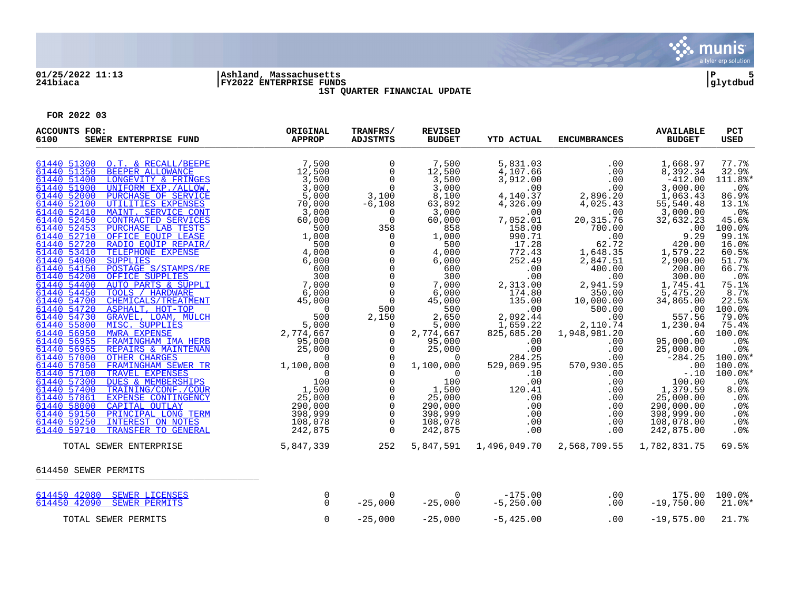

# **01/25/2022 11:13 |Ashland, Massachusetts |P 5 241biaca |FY2022 ENTERPRISE FUNDS |glytdbud**



**1ST QUARTER FINANCIAL UPDATE**

| <b>ACCOUNTS FOR:</b><br>SEWER ENTERPRISE FUND<br>6100                                                                                                                                                                                                                                                                                                                                                                                                                                                                                                                 | ORIGINAL<br><b>APPROP</b> | TRANFRS/<br><b>ADJSTMTS</b>                                                                                                                                                                                                                                                                                                                                                                                                                                                                                                         | <b>REVISED</b><br><b>BUDGET</b>                                                                                                                                                                                                                                                                                                                             | <b>YTD ACTUAL</b>                                                                                                                                                                                                                                                                                                                 | <b>ENCUMBRANCES</b>                                                                                                                                                                                                                                                                                                                     | <b>AVAILABLE</b><br><b>BUDGET</b>                                                                                                                                                                                                                                                                                                                                                                                                            | PCT<br><b>USED</b>                                                                                                                                                                                                                                                                                                      |
|-----------------------------------------------------------------------------------------------------------------------------------------------------------------------------------------------------------------------------------------------------------------------------------------------------------------------------------------------------------------------------------------------------------------------------------------------------------------------------------------------------------------------------------------------------------------------|---------------------------|-------------------------------------------------------------------------------------------------------------------------------------------------------------------------------------------------------------------------------------------------------------------------------------------------------------------------------------------------------------------------------------------------------------------------------------------------------------------------------------------------------------------------------------|-------------------------------------------------------------------------------------------------------------------------------------------------------------------------------------------------------------------------------------------------------------------------------------------------------------------------------------------------------------|-----------------------------------------------------------------------------------------------------------------------------------------------------------------------------------------------------------------------------------------------------------------------------------------------------------------------------------|-----------------------------------------------------------------------------------------------------------------------------------------------------------------------------------------------------------------------------------------------------------------------------------------------------------------------------------------|----------------------------------------------------------------------------------------------------------------------------------------------------------------------------------------------------------------------------------------------------------------------------------------------------------------------------------------------------------------------------------------------------------------------------------------------|-------------------------------------------------------------------------------------------------------------------------------------------------------------------------------------------------------------------------------------------------------------------------------------------------------------------------|
| 61440 51300 O.T. & RECALL/BEEPE<br>61440 51350<br>61440 51400<br>61440 51900<br>61440 52000<br>61440 52100<br>61440 52410<br>61440 52450<br>61440 52453<br>61440 52710<br>61440 52720<br>61440 53410<br>61440 54000<br>61440 54150<br>61440 54200<br>61440 54400<br>61440 54450<br>61440 54700<br>61440 54720<br>61440 54730<br>61440 55800<br>61440 56950<br>61440 56955<br>61440 56965<br>61440 57000<br>61440 57050<br>61440 57100<br>61440 57300<br>61440 57400<br>61440 57861<br>61440 58000<br>61440 59150<br>61440 59250<br>61440 59710<br>TRANSFER TO GENERAL | 242,875                   | $\overline{0}$<br>$\overline{0}$<br>$\overline{0}$<br>$\frac{0}{3,100}$<br>$-6,108$<br>$\Omega$<br>$\overline{0}$<br>358<br>$\overline{0}$<br>$\overline{0}$<br>$\mathsf{O}$<br>$\overline{0}$<br>$\overline{0}$<br>$\overline{0}$<br>$\overline{0}$<br>$\overline{0}$<br>$\overline{0}$<br>$\frac{500}{2,150}$<br>0<br>$\Omega$<br>$\overline{0}$<br>$\overline{0}$<br>$\overline{0}$<br>$\mathsf{O}$<br>$\Omega$<br>$\mathsf{O}$<br>$\mathbf 0$<br>$\mathsf{O}$<br>$\overline{0}$<br>$\overline{0}$<br>$\overline{0}$<br>$\Omega$ | 7,500<br>12,500<br>3,500<br>3,000<br>8,100<br>63,892<br>3,000<br>60,000<br>858<br>1,000<br>500<br>4,000<br>6,000<br>600<br>300<br>7,000<br>6,000<br>45,000<br>500<br>2,650<br>5,000<br>2,774,667<br>95,000<br>25,000<br>$\overline{0}$<br>1,100,000<br>$\frac{0}{100}$<br>100<br>$\frac{1}{25}$ , 500<br>25,000<br>290,000<br>398,999<br>108,078<br>242,875 | 5,831.03<br>4,107.66<br>3,912.00<br>.00<br>4,140.37<br>4,326.09<br>.00<br>7,052.01<br>158.00<br>990.71<br>17.28<br>772.43<br>252.49<br>.00<br>.00<br>2,313.00<br>174.80<br>135.00<br>.00<br>2,092.44<br>1,659.22<br>825,685.20<br>.00<br>.00<br>284.25<br>529,069.95<br>.10<br>.00<br>$120.41$<br>.00<br>.00<br>.00<br>.00<br>.00 | .00<br>.00<br>.00<br>.00<br>2,896.20<br>4,025.43<br>.00<br>20, 315.76<br>700.00<br>.00<br>62.72<br>1,648.35<br>2,847.51<br>400.00<br>.00<br>2,941.59<br>350.00<br>10,000.00<br>500.00<br>.00<br>2,110.74<br>1,948,981.20<br>.00<br>.00<br>570,<br>.00<br>570,930.05<br>.00<br>.00<br>.00<br>.00<br>.00<br>.00<br>$.00 \,$<br>.00<br>.00 | 1,668.97<br>8,392.34<br>$-412.00$<br>3,000.00<br>1,063.43<br>55,540.48<br>3,000.00<br>32,632.23<br>.00<br>9.29<br>420.00<br>1,579.22<br>2,900.00<br>200.00<br>300.00<br>1,745.41<br>5,475.20<br>34,865.00<br>.00<br>557.56<br>1,230.04<br>.60<br>95,000.00<br>25,000.00<br>$-284.25$<br>.00<br>$-.10$<br>100.00<br>$\frac{1}{25}$ , $\frac{379}{000}$ , $\frac{59}{00}$<br>25,000.00<br>290,000.00<br>398,999.00<br>108,078.00<br>242,875.00 | 77.7%<br>32.9%<br>111.8%*<br>.0%<br>86.9%<br>13.1%<br>$.0\%$<br>45.6%<br>100.0%<br>99.1%<br>16.0%<br>60.5%<br>51.7%<br>66.7%<br>.0%<br>75.1%<br>8.7%<br>22.5%<br>100.0%<br>79.0%<br>75.4%<br>100.0%<br>.0%<br>.0%<br>$100.0$ *<br>100.0%<br>$100.0$ *<br>.0%<br>8.0%<br>.0%<br>.0%<br>.0 <sup>8</sup><br>$.0\%$<br>. 0% |
| TOTAL SEWER ENTERPRISE                                                                                                                                                                                                                                                                                                                                                                                                                                                                                                                                                | 5,847,339                 | 252                                                                                                                                                                                                                                                                                                                                                                                                                                                                                                                                 | 5,847,591                                                                                                                                                                                                                                                                                                                                                   |                                                                                                                                                                                                                                                                                                                                   | 1,496,049.70 2,568,709.55 1,782,831.75                                                                                                                                                                                                                                                                                                  |                                                                                                                                                                                                                                                                                                                                                                                                                                              | 69.5%                                                                                                                                                                                                                                                                                                                   |
| 614450 SEWER PERMITS                                                                                                                                                                                                                                                                                                                                                                                                                                                                                                                                                  |                           |                                                                                                                                                                                                                                                                                                                                                                                                                                                                                                                                     |                                                                                                                                                                                                                                                                                                                                                             |                                                                                                                                                                                                                                                                                                                                   |                                                                                                                                                                                                                                                                                                                                         |                                                                                                                                                                                                                                                                                                                                                                                                                                              |                                                                                                                                                                                                                                                                                                                         |
| 614450 42080 SEWER LICENSES<br>614450 42090 SEWER PERMITS                                                                                                                                                                                                                                                                                                                                                                                                                                                                                                             | 0<br>$\Omega$             | $\mathbf 0$<br>$-25,000$                                                                                                                                                                                                                                                                                                                                                                                                                                                                                                            | $\overline{0}$<br>$-25,000$                                                                                                                                                                                                                                                                                                                                 | $-175.00$<br>$-5,250.00$                                                                                                                                                                                                                                                                                                          | .00<br>.00                                                                                                                                                                                                                                                                                                                              | $-19,750.00$                                                                                                                                                                                                                                                                                                                                                                                                                                 | 175.00 100.0%<br>$21.0$ %*                                                                                                                                                                                                                                                                                              |
| TOTAL SEWER PERMITS                                                                                                                                                                                                                                                                                                                                                                                                                                                                                                                                                   | 0                         | $-25,000$                                                                                                                                                                                                                                                                                                                                                                                                                                                                                                                           | $-25,000$                                                                                                                                                                                                                                                                                                                                                   | $-5,425.00$                                                                                                                                                                                                                                                                                                                       | .00                                                                                                                                                                                                                                                                                                                                     | $-19,575.00$                                                                                                                                                                                                                                                                                                                                                                                                                                 | 21.7%                                                                                                                                                                                                                                                                                                                   |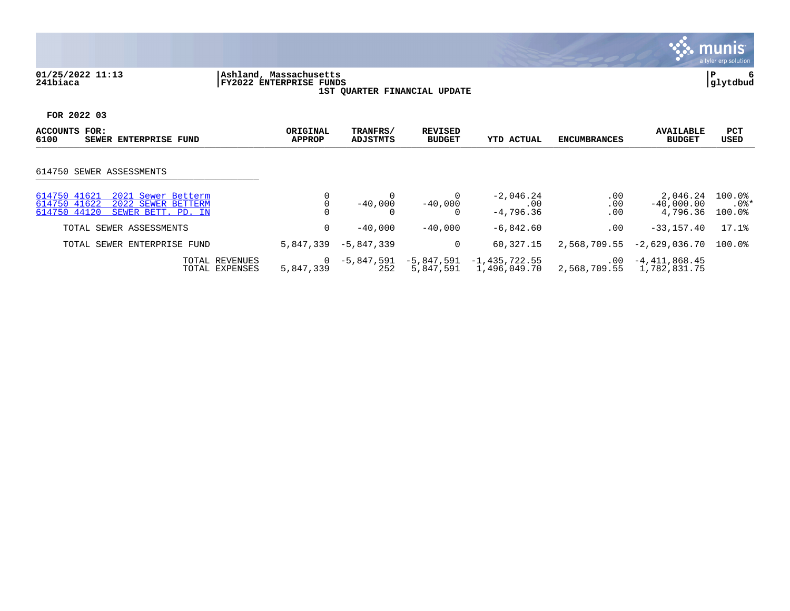## **01/25/2022 11:13 |Ashland, Massachusetts |P 6 241biaca |FY2022 ENTERPRISE FUNDS |glytdbud 1ST QUARTER FINANCIAL UPDATE**



| ACCOUNTS<br>FOR:<br>6100<br><b>ENTERPRISE FUND</b><br>SEWER                                                    | ORIGINAL<br><b>APPROP</b>   | TRANFRS/<br>ADJSTMTS | <b>REVISED</b><br><b>BUDGET</b> | <b>YTD ACTUAL</b>                 | <b>ENCUMBRANCES</b>      | <b>AVAILABLE</b><br><b>BUDGET</b>    | <b>PCT</b><br>USED          |
|----------------------------------------------------------------------------------------------------------------|-----------------------------|----------------------|---------------------------------|-----------------------------------|--------------------------|--------------------------------------|-----------------------------|
| 614750 SEWER ASSESSMENTS                                                                                       |                             |                      |                                 |                                   |                          |                                      |                             |
| 614750 41621<br>2021 Sewer Betterm<br>614750 41622<br>2022 SEWER BETTERM<br>614750 44120<br>SEWER BETT. PD. IN |                             | $-40,000$            | $-40,000$                       | $-2,046.24$<br>.00<br>$-4,796.36$ | .00<br>.00<br>.00        | 2,046.24<br>$-40.000.00$<br>4,796.36 | $100.0$ %<br>.0%*<br>100.0% |
| TOTAL SEWER ASSESSMENTS                                                                                        | 0                           | $-40,000$            | $-40.000$                       | $-6,842.60$                       | .00                      | $-33,157,40$                         | 17.1%                       |
| TOTAL SEWER ENTERPRISE FUND                                                                                    | 5,847,339                   | $-5,847,339$         | 0                               | 60,327.15                         | 2,568,709.55             | $-2,629,036.70$                      | $100.0$ $^{\circ}$          |
| TOTAL REVENUES<br>TOTAL EXPENSES                                                                               | $\overline{0}$<br>5,847,339 | -5,847,591<br>252    | -5,847,591<br>5,847,591         | -1,435,722.55<br>1,496,049.70     | $.00 \,$<br>2,568,709.55 | -4,411,868.45<br>1,782,831.75        |                             |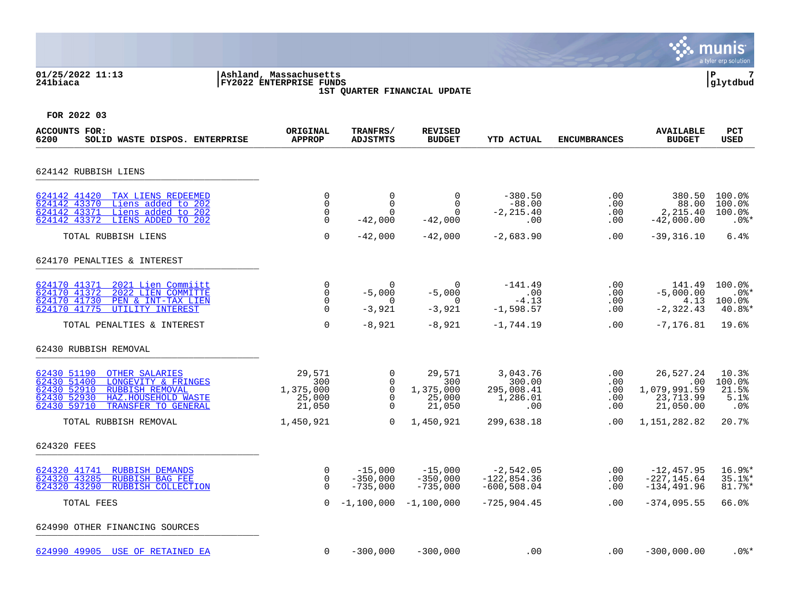## **01/25/2022 11:13 |Ashland, Massachusetts |P 7 241biaca |FY2022 ENTERPRISE FUNDS |glytdbud 1ST QUARTER FINANCIAL UPDATE**



| ACCOUNTS FOR:<br>6200<br>SOLID WASTE DISPOS. ENTERPRISE                                                                                                                                  | ORIGINAL<br><b>APPROP</b>                      | TRANFRS/<br><b>ADJSTMTS</b>                      | <b>REVISED</b><br><b>BUDGET</b>                  | <b>YTD ACTUAL</b>                                   | <b>ENCUMBRANCES</b>                  | <b>AVAILABLE</b><br><b>BUDGET</b>                               | <b>PCT</b><br>USED                          |
|------------------------------------------------------------------------------------------------------------------------------------------------------------------------------------------|------------------------------------------------|--------------------------------------------------|--------------------------------------------------|-----------------------------------------------------|--------------------------------------|-----------------------------------------------------------------|---------------------------------------------|
| 624142 RUBBISH LIENS                                                                                                                                                                     |                                                |                                                  |                                                  |                                                     |                                      |                                                                 |                                             |
| 624142 41420<br>TAX LIENS REDEEMED<br>Liens added to 202<br>624142 43370<br>Liens added to 202<br>624142 43371<br>624142 43372 LIENS ADDED TO 202                                        | 0<br>$\mathbf 0$<br>0<br>$\mathbf 0$           | $\mathbf 0$<br>$\Omega$<br>$\Omega$<br>$-42,000$ | $\mathbf 0$<br>$\Omega$<br>$\Omega$<br>$-42,000$ | $-380.50$<br>$-88.00$<br>$-2, 215.40$<br>.00        | .00<br>.00<br>.00<br>.00             | 380.50<br>88.00<br>2,215.40<br>$-42,000.00$                     | $100.0$ °<br>100.0%<br>$100.0$ %<br>$.0$ %* |
| TOTAL RUBBISH LIENS                                                                                                                                                                      | $\Omega$                                       | $-42,000$                                        | $-42,000$                                        | $-2,683.90$                                         | .00                                  | $-39, 316.10$                                                   | 6.4%                                        |
| 624170 PENALTIES & INTEREST                                                                                                                                                              |                                                |                                                  |                                                  |                                                     |                                      |                                                                 |                                             |
| 624170 41371<br>2021 Lien Commiitt<br>624170 41372<br>2022 LIEN COMMITTE<br>624170 41730<br>PEN & INT-TAX LIEN<br>624170 41775<br>UTILITY INTEREST                                       | 0<br>$\Omega$<br>0<br>$\Omega$                 | $\Omega$<br>$-5,000$<br>$\Omega$<br>$-3,921$     | $\Omega$<br>$-5,000$<br>0<br>$-3,921$            | $-141.49$<br>.00<br>$-4.13$<br>$-1,598.57$          | .00<br>.00<br>.00<br>.00             | 141.49<br>$-5,000.00$<br>4.13<br>$-2, 322.43$                   | 100.0%<br>$.0$ %*<br>$100.0$ %<br>40.8%*    |
| TOTAL PENALTIES & INTEREST                                                                                                                                                               | $\Omega$                                       | $-8,921$                                         | $-8,921$                                         | $-1,744.19$                                         | .00                                  | $-7, 176.81$                                                    | 19.6%                                       |
| 62430 RUBBISH REMOVAL                                                                                                                                                                    |                                                |                                                  |                                                  |                                                     |                                      |                                                                 |                                             |
| 62430 51190<br>OTHER SALARIES<br>62430 51400<br>LONGEVITY & FRINGES<br>62430 52910<br><b>RUBBISH REMOVAL</b><br>62430 52930<br>HAZ.HOUSEHOLD WASTE<br>62430 59710<br>TRANSFER TO GENERAL | 29,571<br>300<br>1,375,000<br>25,000<br>21,050 | 0<br>0<br>$\mathbf 0$<br>$\Omega$<br>$\mathbf 0$ | 29,571<br>300<br>1,375,000<br>25,000<br>21,050   | 3,043.76<br>300.00<br>295,008.41<br>1,286.01<br>.00 | .00<br>$.00 \,$<br>.00<br>.00<br>.00 | 26,527.24<br>$.00 \,$<br>1,079,991.59<br>23,713.99<br>21,050.00 | 10.3%<br>100.0%<br>21.5%<br>5.1%<br>.0%     |
| TOTAL RUBBISH REMOVAL                                                                                                                                                                    | 1,450,921                                      | $\Omega$                                         | 1,450,921                                        | 299,638.18                                          | $.00 \,$                             | 1,151,282.82                                                    | 20.7%                                       |
| 624320 FEES                                                                                                                                                                              |                                                |                                                  |                                                  |                                                     |                                      |                                                                 |                                             |
| 624320 41741<br><b>RUBBISH DEMANDS</b><br>624320 43285<br>RUBBISH BAG FEE<br>624320 43290<br>RUBBISH COLLECTION                                                                          | 0<br>$\Omega$<br>$\Omega$                      | $-15,000$<br>$-350,000$<br>$-735,000$            | $-15,000$<br>$-350,000$<br>$-735,000$            | $-2,542.05$<br>$-122,854.36$<br>$-600, 508.04$      | .00<br>.00<br>.00                    | $-12, 457.95$<br>$-227, 145.64$<br>$-134, 491.96$               | 16.9%*<br>$35.1$ <sup>*</sup><br>81.7%*     |
| TOTAL FEES                                                                                                                                                                               | $\Omega$                                       | $-1,100,000$                                     | $-1,100,000$                                     | $-725, 904.45$                                      | $.00 \,$                             | $-374,095.55$                                                   | 66.0%                                       |
| 624990 OTHER FINANCING SOURCES                                                                                                                                                           |                                                |                                                  |                                                  |                                                     |                                      |                                                                 |                                             |
| 624990 49905 USE OF RETAINED EA                                                                                                                                                          | 0                                              | $-300,000$                                       | $-300,000$                                       | .00                                                 | $.00 \,$                             | $-300,000.00$                                                   | $.0$ % $*$                                  |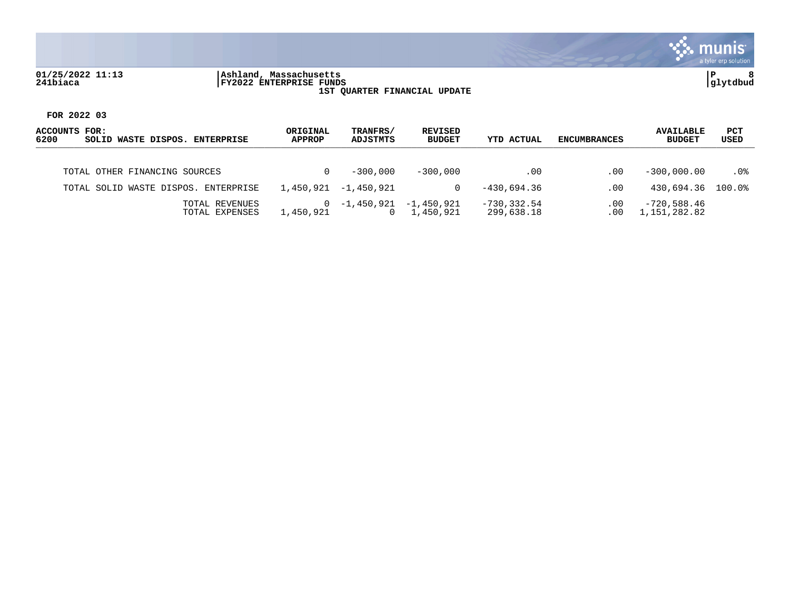

## **01/25/2022 11:13 |Ashland, Massachusetts |P 8 241biaca |FY2022 ENTERPRISE FUNDS |glytdbud 1ST QUARTER FINANCIAL UPDATE**



| ACCOUNTS FOR:<br>6200<br>SOLID WASTE DISPOS.<br><b>ENTERPRISE</b> | ORIGINAL<br><b>APPROP</b> | TRANFRS/<br>ADJSTMTS | REVISED<br><b>BUDGET</b> | <b>YTD ACTUAL</b>            | <b>ENCUMBRANCES</b> | <b>AVAILABLE</b><br><b>BUDGET</b> | <b>PCT</b><br>USED |
|-------------------------------------------------------------------|---------------------------|----------------------|--------------------------|------------------------------|---------------------|-----------------------------------|--------------------|
| TOTAL OTHER FINANCING SOURCES                                     |                           | $-300.000$           | $-300.000$               | $.00 \,$                     | .00                 | $-300.000.00$                     | $.0\%$             |
| TOTAL SOLID WASTE DISPOS. ENTERPRISE                              | 1,450,921                 | -1,450,921           |                          | $-430.694.36$                | .00                 | 430,694.36                        | 100.0%             |
| TOTAL REVENUES<br>TOTAL EXPENSES                                  | $\Omega$<br>1,450,921     | -1,450,921<br>0      | -1,450,921<br>1,450,921  | $-730, 332.54$<br>299,638.18 | .00<br>$.00 \,$     | $-720,588.46$<br>1,151,282.82     |                    |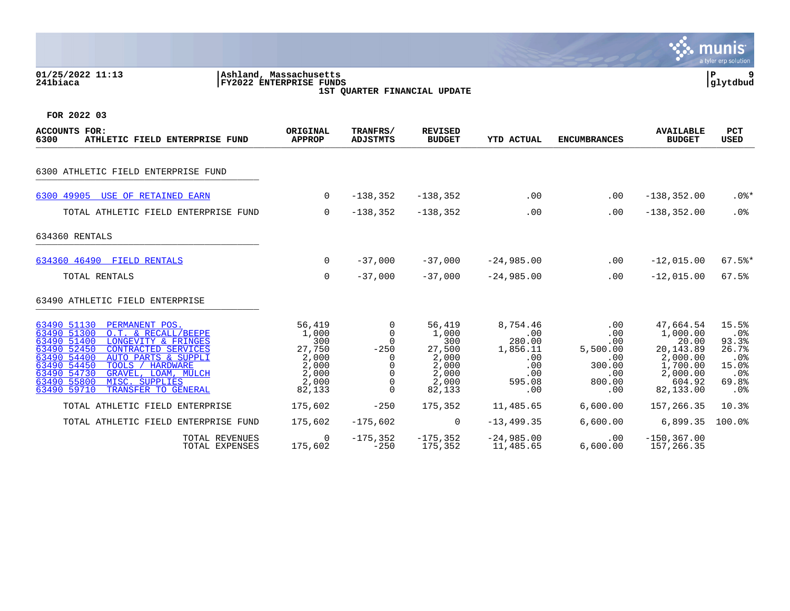### **01/25/2022 11:13 |Ashland, Massachusetts |P 9 241biaca |FY2022 ENTERPRISE FUNDS |glytdbud 1ST QUARTER FINANCIAL UPDATE**



| ACCOUNTS FOR:<br>6300<br>ATHLETIC FIELD ENTERPRISE FUND                                                                                                                                                                                                                                                                                                                         | ORIGINAL<br><b>APPROP</b>                                                                 | TRANFRS/<br><b>ADJSTMTS</b>                                                           | <b>REVISED</b><br><b>BUDGET</b>                                                           | <b>YTD ACTUAL</b>                                                                        | <b>ENCUMBRANCES</b>                                                                | <b>AVAILABLE</b><br><b>BUDGET</b>                                                                                    | <b>PCT</b><br><b>USED</b>                                                      |
|---------------------------------------------------------------------------------------------------------------------------------------------------------------------------------------------------------------------------------------------------------------------------------------------------------------------------------------------------------------------------------|-------------------------------------------------------------------------------------------|---------------------------------------------------------------------------------------|-------------------------------------------------------------------------------------------|------------------------------------------------------------------------------------------|------------------------------------------------------------------------------------|----------------------------------------------------------------------------------------------------------------------|--------------------------------------------------------------------------------|
| 6300 ATHLETIC FIELD ENTERPRISE FUND                                                                                                                                                                                                                                                                                                                                             |                                                                                           |                                                                                       |                                                                                           |                                                                                          |                                                                                    |                                                                                                                      |                                                                                |
| 6300 49905<br>USE OF RETAINED EARN                                                                                                                                                                                                                                                                                                                                              | 0                                                                                         | $-138,352$                                                                            | $-138,352$                                                                                | .00                                                                                      | $.00 \,$                                                                           | $-138, 352.00$                                                                                                       | $.0$ %*                                                                        |
| TOTAL ATHLETIC FIELD ENTERPRISE FUND                                                                                                                                                                                                                                                                                                                                            | 0                                                                                         | $-138,352$                                                                            | $-138,352$                                                                                | .00                                                                                      | .00                                                                                | $-138, 352.00$                                                                                                       | .0%                                                                            |
| 634360 RENTALS                                                                                                                                                                                                                                                                                                                                                                  |                                                                                           |                                                                                       |                                                                                           |                                                                                          |                                                                                    |                                                                                                                      |                                                                                |
| 634360 46490 FIELD RENTALS                                                                                                                                                                                                                                                                                                                                                      | $\Omega$                                                                                  | $-37,000$                                                                             | $-37,000$                                                                                 | $-24,985.00$                                                                             | .00                                                                                | $-12,015.00$                                                                                                         | $67.5$ *                                                                       |
| TOTAL RENTALS                                                                                                                                                                                                                                                                                                                                                                   | $\mathbf 0$                                                                               | $-37,000$                                                                             | $-37,000$                                                                                 | $-24,985.00$                                                                             | .00                                                                                | $-12,015.00$                                                                                                         | 67.5%                                                                          |
| 63490 ATHLETIC FIELD ENTERPRISE                                                                                                                                                                                                                                                                                                                                                 |                                                                                           |                                                                                       |                                                                                           |                                                                                          |                                                                                    |                                                                                                                      |                                                                                |
| 63490 51130<br>PERMANENT POS.<br>63490 51300<br>O.T. & RECALL/BEEPE<br>63490 51400<br>LONGEVITY & FRINGES<br>63490 52450<br><b>CONTRACTED SERVICES</b><br>63490 54400<br>AUTO PARTS & SUPPLI<br>63490 54450<br>TOOLS / HARDWARE<br>63490 54730<br>GRAVEL, LOAM, MULCH<br>63490 55800<br>MISC. SUPPLIES<br>63490 59710<br>TRANSFER TO GENERAL<br>TOTAL ATHLETIC FIELD ENTERPRISE | 56,419<br>1,000<br>300<br>27,750<br>2,000<br>2,000<br>2,000<br>2,000<br>82,133<br>175,602 | $\mathbf 0$<br>$\mathbf 0$<br>$\Omega$<br>$-250$<br>0<br>0<br>0<br>$\Omega$<br>$-250$ | 56,419<br>1,000<br>300<br>27,500<br>2,000<br>2,000<br>2,000<br>2,000<br>82,133<br>175,352 | 8,754.46<br>.00<br>280.00<br>1,856.11<br>.00<br>.00<br>.00<br>595.08<br>.00<br>11,485.65 | .00<br>.00<br>.00<br>5,500.00<br>.00<br>300.00<br>.00<br>800.00<br>.00<br>6,600.00 | 47,664.54<br>1,000.00<br>20.00<br>20,143.89<br>2,000.00<br>1,700.00<br>2,000.00<br>604.92<br>82,133.00<br>157,266.35 | 15.5%<br>.0%<br>93.3%<br>26.7%<br>.0%<br>15.0%<br>.0%<br>69.8%<br>.0%<br>10.3% |
| TOTAL ATHLETIC FIELD ENTERPRISE FUND                                                                                                                                                                                                                                                                                                                                            | 175,602                                                                                   | $-175,602$                                                                            | 0                                                                                         | $-13, 499.35$                                                                            | 6,600.00                                                                           | 6,899.35                                                                                                             | 100.0%                                                                         |
| TOTAL REVENUES<br>TOTAL EXPENSES                                                                                                                                                                                                                                                                                                                                                | 0<br>175,602                                                                              | $-175,352$<br>$-250$                                                                  | $-175, 352$<br>175,352                                                                    | $-24,985.00$<br>11,485.65                                                                | .00<br>6,600.00                                                                    | $-150, 367.00$<br>157,266.35                                                                                         |                                                                                |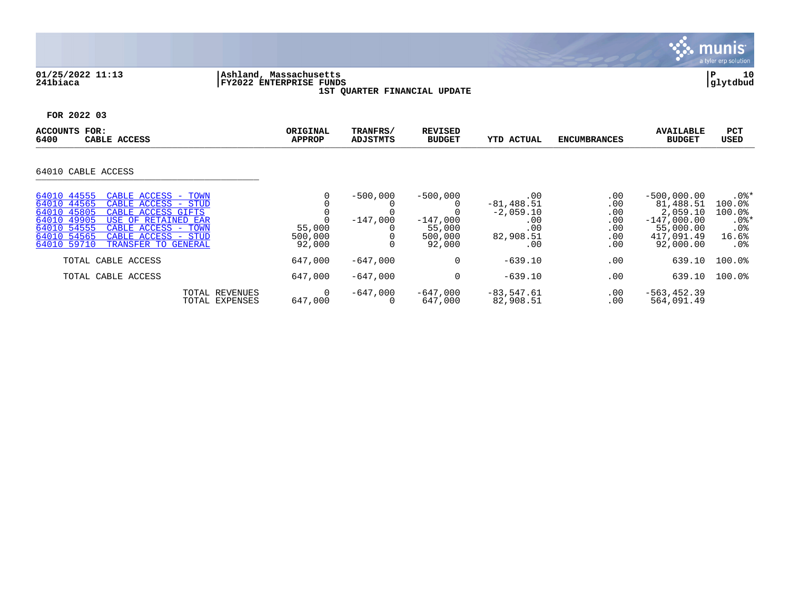

## **01/25/2022 11:13 |Ashland, Massachusetts |P 10 241biaca |FY2022 ENTERPRISE FUNDS |glytdbud 1ST QUARTER FINANCIAL UPDATE**



| ACCOUNTS<br>FOR:<br>6400<br>CABLE ACCESS                                                                                                                                                                                                                                 | ORIGINAL<br><b>APPROP</b>   | TRANFRS/<br><b>ADJSTMTS</b> | <b>REVISED</b><br><b>BUDGET</b>                         | <b>YTD ACTUAL</b>                                                     | <b>ENCUMBRANCES</b>                           | <b>AVAILABLE</b><br><b>BUDGET</b>                                                               | PCT<br><b>USED</b>                                               |
|--------------------------------------------------------------------------------------------------------------------------------------------------------------------------------------------------------------------------------------------------------------------------|-----------------------------|-----------------------------|---------------------------------------------------------|-----------------------------------------------------------------------|-----------------------------------------------|-------------------------------------------------------------------------------------------------|------------------------------------------------------------------|
| 64010 CABLE ACCESS                                                                                                                                                                                                                                                       |                             |                             |                                                         |                                                                       |                                               |                                                                                                 |                                                                  |
| 64010 44555<br>CABLE ACCESS - TOWN<br>64010 44565<br>CABLE ACCESS - STUD<br>64010 45805<br>CABLE ACCESS GIFTS<br>64010 49905<br>USE OF RETAINED EAR<br>64010 54555<br>CABLE ACCESS -<br>TOWN<br>64010 54565<br>CABLE ACCESS - STUD<br>64010 59710<br>TRANSFER TO GENERAL | 55,000<br>500,000<br>92,000 | $-500,000$<br>$-147.000$    | $-500,000$<br>$-147,000$<br>55,000<br>500,000<br>92,000 | .00<br>$-81, 488.51$<br>$-2,059.10$<br>.00<br>.00<br>82,908.51<br>.00 | .00<br>.00<br>.00<br>.00<br>.00<br>.00<br>.00 | $-500,000.00$<br>81,488.51<br>2,059.10<br>$-147,000.00$<br>55,000.00<br>417,091.49<br>92,000.00 | $.0$ %*<br>100.0%<br>100.0%<br>$.0$ %*<br>.0%<br>16.6%<br>$.0\%$ |
| TOTAL CABLE ACCESS<br>TOTAL CABLE ACCESS                                                                                                                                                                                                                                 | 647,000<br>647,000          | $-647.000$<br>$-647,000$    | 0<br>0                                                  | $-639.10$<br>$-639.10$                                                | .00<br>.00                                    | 639.10<br>639.10                                                                                | 100.0%<br>100.0%                                                 |
| TOTAL REVENUES<br>TOTAL EXPENSES                                                                                                                                                                                                                                         | 0<br>647,000                | $-647,000$<br>$\Omega$      | $-647.000$<br>647,000                                   | $-83,547.61$<br>82,908.51                                             | .00<br>.00                                    | $-563, 452.39$<br>564,091.49                                                                    |                                                                  |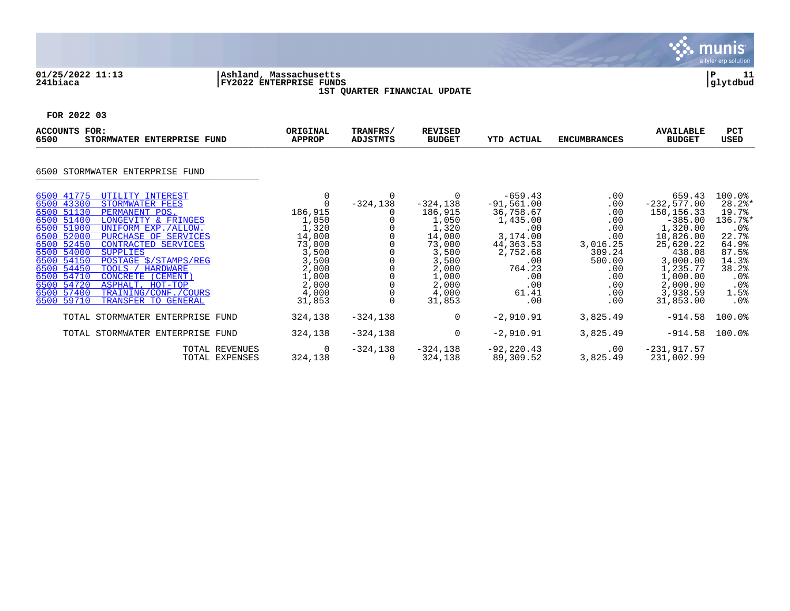

## **01/25/2022 11:13 |Ashland, Massachusetts |P 11 241biaca |FY2022 ENTERPRISE FUNDS |glytdbud 1ST QUARTER FINANCIAL UPDATE**



| ACCOUNTS FOR:<br>6500<br>STORMWATER ENTERPRISE FUND                                                                                                                                                                                                                                                                                                                                                                                                                                                            | ORIGINAL<br><b>APPROP</b>                                                                                                      | TRANFRS/<br><b>ADJSTMTS</b> | <b>REVISED</b><br><b>BUDGET</b>                                                                                                          | <b>YTD ACTUAL</b>                                                                                                                             | <b>ENCUMBRANCES</b>                                                                                       | <b>AVAILABLE</b><br><b>BUDGET</b>                                                                                                                                              | <b>PCT</b><br><b>USED</b>                                                                                                        |
|----------------------------------------------------------------------------------------------------------------------------------------------------------------------------------------------------------------------------------------------------------------------------------------------------------------------------------------------------------------------------------------------------------------------------------------------------------------------------------------------------------------|--------------------------------------------------------------------------------------------------------------------------------|-----------------------------|------------------------------------------------------------------------------------------------------------------------------------------|-----------------------------------------------------------------------------------------------------------------------------------------------|-----------------------------------------------------------------------------------------------------------|--------------------------------------------------------------------------------------------------------------------------------------------------------------------------------|----------------------------------------------------------------------------------------------------------------------------------|
| STORMWATER ENTERPRISE FUND<br>6500                                                                                                                                                                                                                                                                                                                                                                                                                                                                             |                                                                                                                                |                             |                                                                                                                                          |                                                                                                                                               |                                                                                                           |                                                                                                                                                                                |                                                                                                                                  |
| 6500 41775<br>UTILITY INTEREST<br>6500 43300<br>STORMWATER FEES<br>6500 51130<br>PERMANENT POS.<br>6500 51400<br>LONGEVITY & FRINGES<br>6500 51900<br>UNIFORM EXP./ALLOW.<br>6500 52000<br>PURCHASE OF SERVICES<br>6500 52450<br>CONTRACTED SERVICES<br>6500 54000<br><b>SUPPLIES</b><br>6500 54150<br>POSTAGE \$/STAMPS/REG<br>6500 54450<br>TOOLS / HARDWARE<br>6500 54710<br>CONCRETE (CEMENT)<br>6500 54720<br>ASPHALT, HOT-TOP<br>6500 57400<br>TRAINING/CONF./COURS<br>6500 59710<br>TRANSFER TO GENERAL | 0<br>$\Omega$<br>186,915<br>1,050<br>1,320<br>14,000<br>73,000<br>3,500<br>3,500<br>2,000<br>1,000<br>2,000<br>4,000<br>31,853 | 0<br>$-324, 138$            | $\Omega$<br>$-324, 138$<br>186,915<br>1,050<br>1,320<br>14,000<br>73,000<br>3,500<br>3,500<br>2,000<br>1,000<br>2,000<br>4,000<br>31,853 | $-659.43$<br>$-91,561.00$<br>36,758.67<br>1,435.00<br>.00<br>3,174.00<br>44,363.53<br>2,752.68<br>.00<br>764.23<br>.00<br>.00<br>61.41<br>.00 | .00<br>.00<br>.00<br>.00<br>.00<br>.00<br>3,016.25<br>309.24<br>500.00<br>.00<br>.00<br>.00<br>.00<br>.00 | 659.43<br>$-232, 577.00$<br>150, 156. 33<br>$-385.00$<br>1,320.00<br>10,826.00<br>25,620.22<br>438.08<br>3,000.00<br>1,235.77<br>1,000.00<br>2,000.00<br>3,938.59<br>31,853.00 | 100.0%<br>$28.2$ *<br>19.7%<br>136.7%*<br>.0%<br>22.7%<br>64.9%<br>87.5%<br>14.3%<br>38.2%<br>$.0\%$<br>$.0\%$<br>1.5%<br>$.0\%$ |
| TOTAL STORMWATER ENTERPRISE FUND                                                                                                                                                                                                                                                                                                                                                                                                                                                                               | 324,138                                                                                                                        | $-324,138$                  | $\mathbf 0$                                                                                                                              | $-2,910.91$                                                                                                                                   | 3,825.49                                                                                                  | $-914.58$                                                                                                                                                                      | 100.0%                                                                                                                           |
| TOTAL STORMWATER ENTERPRISE FUND                                                                                                                                                                                                                                                                                                                                                                                                                                                                               | 324,138                                                                                                                        | $-324, 138$                 | 0                                                                                                                                        | $-2,910.91$                                                                                                                                   | 3,825.49                                                                                                  | $-914.58$                                                                                                                                                                      | $100.0$ <sup>8</sup>                                                                                                             |
|                                                                                                                                                                                                                                                                                                                                                                                                                                                                                                                | TOTAL REVENUES<br>0<br>324,138<br>TOTAL EXPENSES                                                                               | $-324,138$                  | $-324,138$<br>324,138                                                                                                                    | $-92, 220.43$<br>89,309.52                                                                                                                    | $.00 \,$<br>3,825.49                                                                                      | $-231,917.57$<br>231,002.99                                                                                                                                                    |                                                                                                                                  |